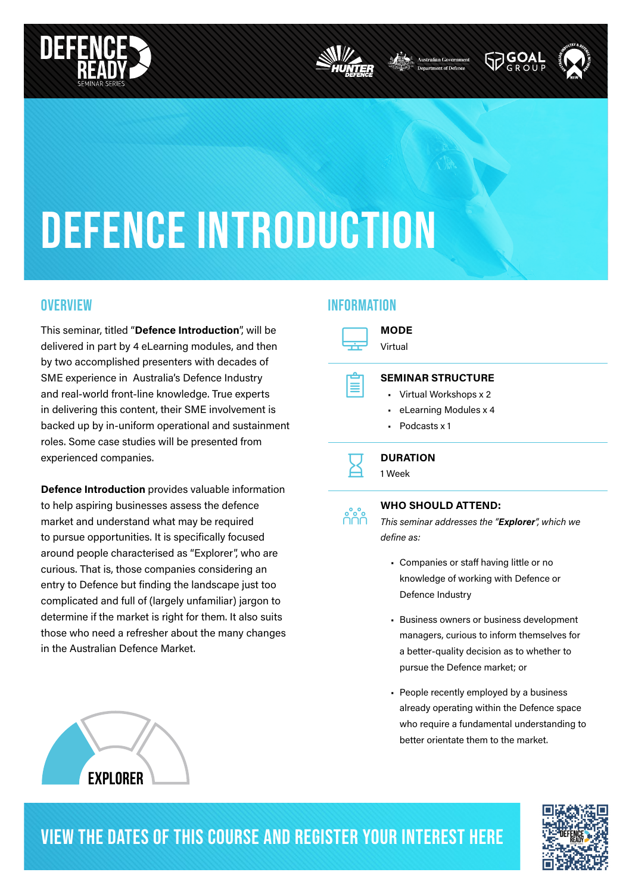





# DEFENCE INTRODUCTION

This seminar, titled "Defence Introduction", will be delivered in part by 4 eLearning modules, and then by two accomplished presenters with decades of SME experience in Australia's Defence Industry and real-world front-line knowledge. True experts in delivering this content, their SME involvement is backed up by in-uniform operational and sustainment roles. Some case studies will be presented from experienced companies.

Defence Introduction provides valuable information to help aspiring businesses assess the defence market and understand what may be required to pursue opportunities. It is specifically focused around people characterised as "Explorer", who are curious. That is, those companies considering an entry to Defence but finding the landscape just too complicated and full of (largely unfamiliar) jargon to determine if the market is right for them. It also suits those who need a refresher about the many changes in the Australian Defence Market.

#### OVERVIEW **information** in the intervention of the intervention in the intervention of  $\mathbf{u}$



MODE Virtual

º

eee<br>UUU

#### SEMINAR STRUCTURE

- Virtual Workshops x 2
- eLearning Modules x 4
- Podcasts x 1

## $\overline{\mathbf{z}}$

**DURATION** 

#### 1 Week

#### WHO SHOULD ATTEND:

This seminar addresses the "Explorer", which we define as:

- Companies or staff having little or no knowledge of working with Defence or Defence Industry
- Business owners or business development managers, curious to inform themselves for a better-quality decision as to whether to pursue the Defence market; or
- People recently employed by a business already operating within the Defence space who require a fundamental understanding to better orientate them to the market.





### VIEW THE DATES OF THIS COURSE AND REGISTER YOUR INTEREST HERE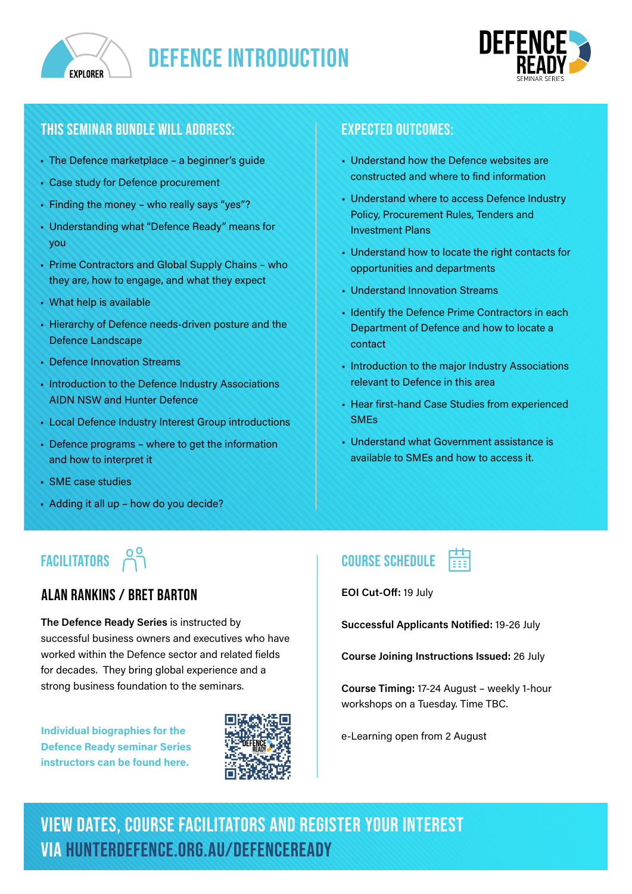



#### this seminar bundle will address:

- The Defence marketplace a beginner's guide
- Case study for Defence procurement
- Finding the money who really says "yes"?
- Understanding what "Defence Ready" means for you
- Prime Contractors and Global Supply Chains who they are, how to engage, and what they expect
- What help is available
- Hierarchy of Defence needs-driven posture and the Defence Landscape
- Defence Innovation Streams
- Introduction to the Defence Industry Associations AIDN NSW and Hunter Defence
- Local Defence Industry Interest Group introductions
- Defence programs where to get the information and how to interpret it
- SME case studies
- Adding it all up how do you decide?

### **FACILITATORS**

#### ALAN RANKINS / BRET BARTON

The Defence Ready Series is instructed by successful business owners and executives who have worked within the Defence sector and related fields for decades. They bring global experience and a strong business foundation to the seminars.

Individual biographies for the Defence Ready seminar Series instructors can be found here.



#### expected outcomes:

- Understand how the Defence websites are constructed and where to find information
- Understand where to access Defence Industry Policy, Procurement Rules, Tenders and Investment Plans
- Understand how to locate the right contacts for opportunities and departments
- Understand Innovation Streams
- Identify the Defence Prime Contractors in each Department of Defence and how to locate a contact
- Introduction to the major Industry Associations relevant to Defence in this area
- Hear first-hand Case Studies from experienced SMEs
- Understand what Government assistance is available to SMEs and how to access it.

#### course schedule  $\overrightarrow{C}$   $\overrightarrow{C}$   $\overrightarrow{C}$   $\overrightarrow{C}$   $\overrightarrow{C}$   $\overrightarrow{C}$   $\overrightarrow{C}$   $\overrightarrow{C}$   $\overrightarrow{C}$   $\overrightarrow{C}$   $\overrightarrow{C}$   $\overrightarrow{C}$   $\overrightarrow{C}$   $\overrightarrow{C}$   $\overrightarrow{C}$   $\overrightarrow{C}$   $\overrightarrow{C}$   $\overrightarrow{C}$   $\overrightarrow{C}$   $\overrightarrow{C}$   $\overrightarrow{C}$   $\overrightarrow{C}$   $\overrightarrow{C}$   $\overrightarrow{C}$   $\overrightarrow{$

EOI Cut-Off: 19 July

Successful Applicants Notified: 19-26 July

Course Joining Instructions Issued: 26 July

Course Timing: 17-24 August – weekly 1-hour workshops on a Tuesday. Time TBC.

e-Learning open from 2 August

VIEW DATES, course facilitators and REGISTER YOUR INTEREST via hunterdefence.org.au/defenceready